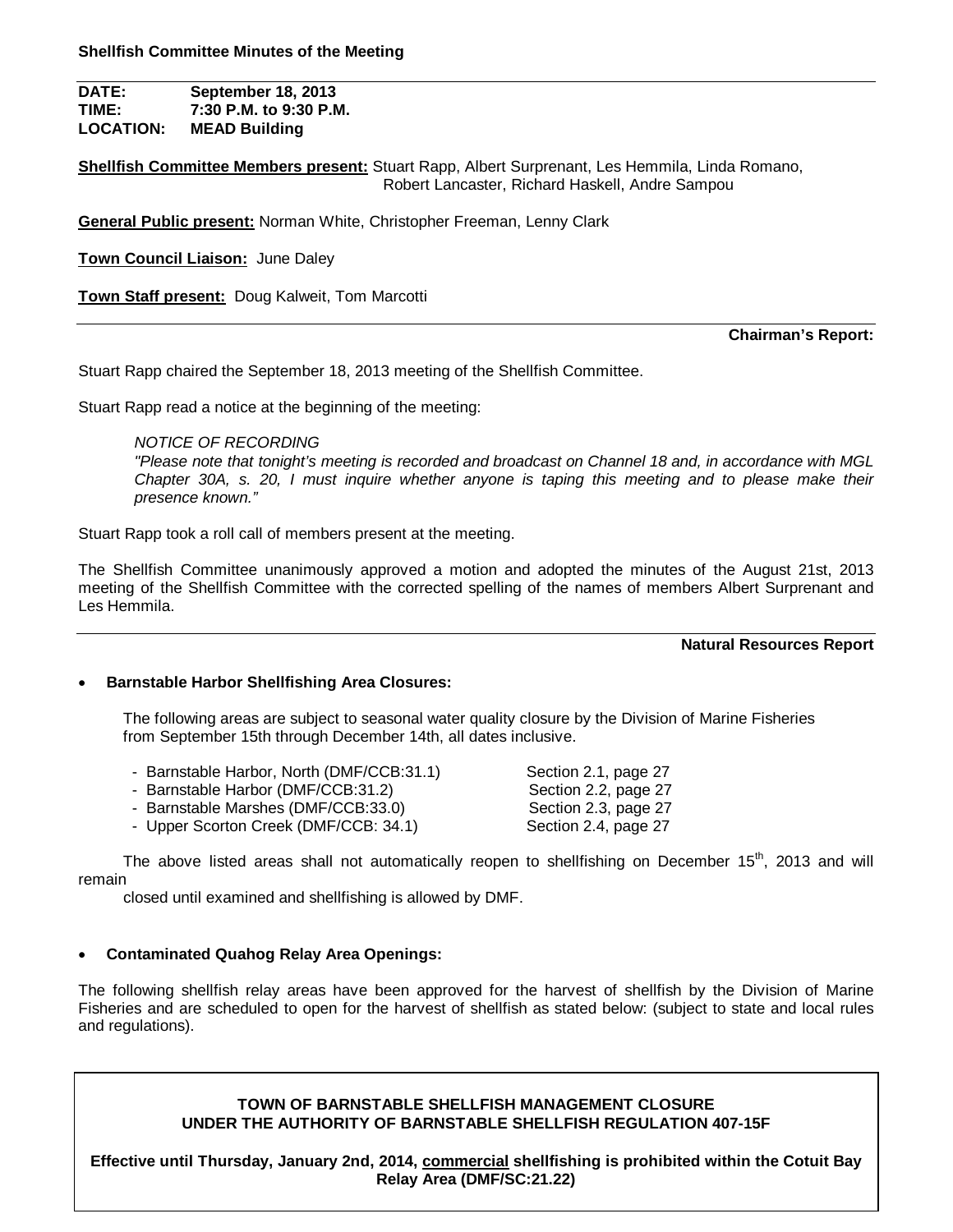**DATE: September 18, 2013 TIME: 7:30 P.M. to 9:30 P.M. LOCATION: MEAD Building**

**Shellfish Committee Members present:** Stuart Rapp, Albert Surprenant, Les Hemmila, Linda Romano, Robert Lancaster, Richard Haskell, Andre Sampou

**General Public present:** Norman White, Christopher Freeman, Lenny Clark

**Town Council Liaison:** June Daley

**Town Staff present:** Doug Kalweit, Tom Marcotti

#### **Chairman's Report:**

Stuart Rapp chaired the September 18, 2013 meeting of the Shellfish Committee.

Stuart Rapp read a notice at the beginning of the meeting:

## *NOTICE OF RECORDING*

*"Please note that tonight's meeting is recorded and broadcast on Channel 18 and, in accordance with MGL Chapter 30A, s. 20, I must inquire whether anyone is taping this meeting and to please make their presence known."*

Stuart Rapp took a roll call of members present at the meeting.

The Shellfish Committee unanimously approved a motion and adopted the minutes of the August 21st, 2013 meeting of the Shellfish Committee with the corrected spelling of the names of members Albert Surprenant and Les Hemmila.

#### **Natural Resources Report**

## **Barnstable Harbor Shellfishing Area Closures:**

The following areas are subject to seasonal water quality closure by the Division of Marine Fisheries from September 15th through December 14th, all dates inclusive.

- Barnstable Harbor, North (DMF/CCB:31.1) Section 2.1, page 27
- Barnstable Harbor (DMF/CCB:31.2) Section 2.2, page 27
- Barnstable Marshes (DMF/CCB:33.0) Section 2.3, page 27
- Upper Scorton Creek (DMF/CCB: 34.1) Section 2.4, page 27

The above listed areas shall not automatically reopen to shellfishing on December 15<sup>th</sup>, 2013 and will remain

closed until examined and shellfishing is allowed by DMF.

# **Contaminated Quahog Relay Area Openings:**

The following shellfish relay areas have been approved for the harvest of shellfish by the Division of Marine Fisheries and are scheduled to open for the harvest of shellfish as stated below: (subject to state and local rules and regulations).

# **TOWN OF BARNSTABLE SHELLFISH MANAGEMENT CLOSURE UNDER THE AUTHORITY OF BARNSTABLE SHELLFISH REGULATION 407-15F**

**Effective until Thursday, January 2nd, 2014, commercial shellfishing is prohibited within the Cotuit Bay Relay Area (DMF/SC:21.22)**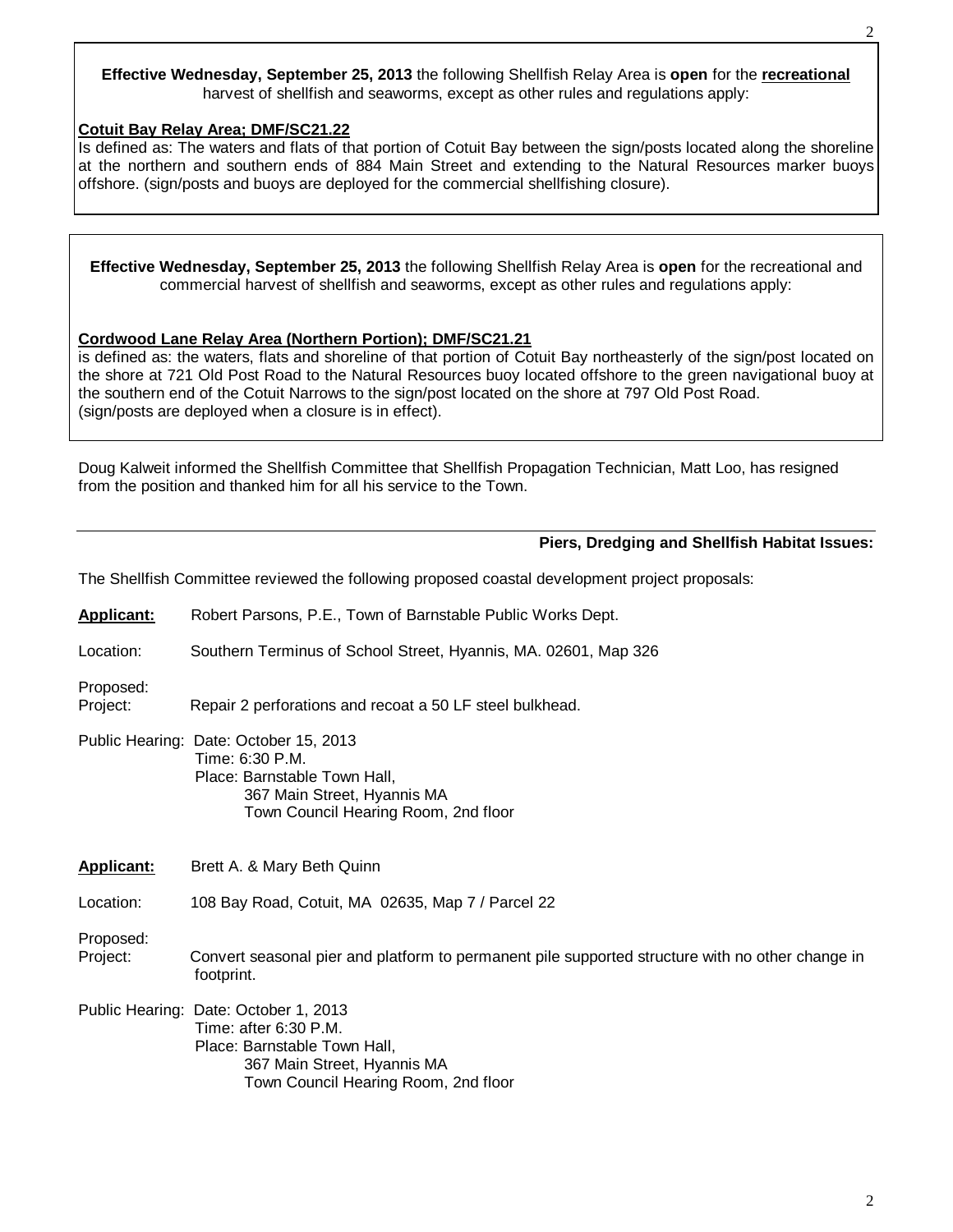**Effective Wednesday, September 25, 2013** the following Shellfish Relay Area is **open** for the **recreational** harvest of shellfish and seaworms, except as other rules and regulations apply:

## **Cotuit Bay Relay Area; DMF/SC21.22**

Is defined as: The waters and flats of that portion of Cotuit Bay between the sign/posts located along the shoreline at the northern and southern ends of 884 Main Street and extending to the Natural Resources marker buoys offshore. (sign/posts and buoys are deployed for the commercial shellfishing closure).

**Effective Wednesday, September 25, 2013** the following Shellfish Relay Area is **open** for the recreational and commercial harvest of shellfish and seaworms, except as other rules and regulations apply:

# **Cordwood Lane Relay Area (Northern Portion); DMF/SC21.21**

is defined as: the waters, flats and shoreline of that portion of Cotuit Bay northeasterly of the sign/post located on the shore at 721 Old Post Road to the Natural Resources buoy located offshore to the green navigational buoy at the southern end of the Cotuit Narrows to the sign/post located on the shore at 797 Old Post Road. (sign/posts are deployed when a closure is in effect).

Doug Kalweit informed the Shellfish Committee that Shellfish Propagation Technician, Matt Loo, has resigned from the position and thanked him for all his service to the Town.

## **Piers, Dredging and Shellfish Habitat Issues:**

The Shellfish Committee reviewed the following proposed coastal development project proposals:

| <b>Applicant:</b>     | Robert Parsons, P.E., Town of Barnstable Public Works Dept.                                                                                                      |
|-----------------------|------------------------------------------------------------------------------------------------------------------------------------------------------------------|
| Location:             | Southern Terminus of School Street, Hyannis, MA. 02601, Map 326                                                                                                  |
| Proposed:<br>Project: | Repair 2 perforations and recoat a 50 LF steel bulkhead.                                                                                                         |
|                       | Public Hearing: Date: October 15, 2013<br>Time: 6:30 P.M.<br>Place: Barnstable Town Hall,<br>367 Main Street, Hyannis MA<br>Town Council Hearing Room, 2nd floor |
| <b>Applicant:</b>     | Brett A. & Mary Beth Quinn                                                                                                                                       |
|                       |                                                                                                                                                                  |
| Location:             | 108 Bay Road, Cotuit, MA 02635, Map 7 / Parcel 22                                                                                                                |
| Proposed:<br>Project: | Convert seasonal pier and platform to permanent pile supported structure with no other change in<br>footprint.                                                   |